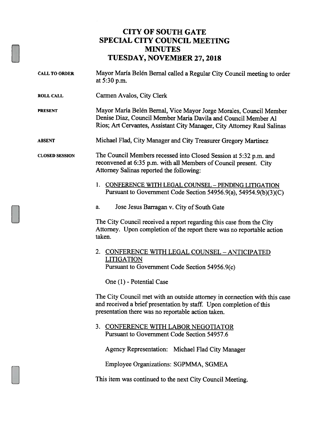## CITY OF SOUTH GATE SPECIAL CITY COUNCIL MEETING MINUTES TUESDAY, NOVEMBER 27, <sup>2018</sup>

- CALL TO ORDER Mayor María Belén Bernal called a Regular City Council meeting to order at 5:30 p.m.
- ROLL CALL Carmen Avalos, City Clerk

PRESENT Mayor Maria Belén Bernal, Vice Mayor Jorge Morales, Council Member Denise Diaz, Council Member Maria Davila and Council Member Al Rios; Art Cervantes, Assistant City Manager, City Attorney Raul Salinas

ABSENT Michael Flad, City Manager and City Treasurer Gregory Martinez

CLOSED SESSION The Council Members recessed into Closed Session at 5:32 p.m. and reconvened at 6:35 p.m. with all Members of Council present. City Attorney Salinas reported the following:

- 1. CONFERENCE WITH LEGAL COUNSEL PENDING LITIGATION Pursuant to Government Code Section 54956.9(a), 54954.9(b)(3)(C)
- a. Jose Jesus Barragan v. City of South Gate

The City Council received a report regarding this case from the City Attorney. Upon completion of the report there was no reportable action taken.

## 2. CONFERENCE WITH LEGAL COUNSEL - ANTICIPATED **LITIGATION** Pursuant to Government Code Section 54956.9(c)

One (1) - Potential Case

The City Council met with an outside attorney in connection with this case and received a brief presentation by staff. Upon completion of this presentation there was no reportable action taken.

3. CONFERENCE WITH LABOR NEGOTIATOR Pursuant to Government Code Section 54957.6

Agency Representation: Michael Flad City Manager

Employee Organizations: SGPMMA, SGMEA

This item was continued to the next City Council Meeting.